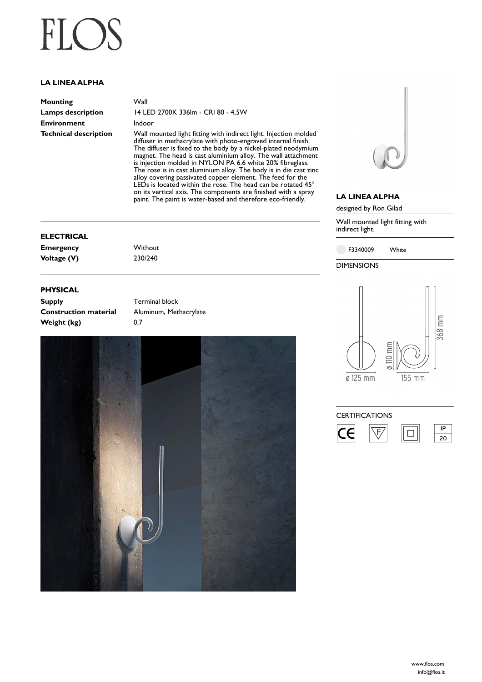# $FLO$

### **LA LINEA ALPHA**

| Mounting                     |
|------------------------------|
| Lamps description            |
| <b>Environment</b>           |
| <b>Technical description</b> |

**Wall Lamps description** 14 LED 2700K 336lm - CRI 80 - 4,5W

**Indoor** 

Wall mounted light fitting with indirect light. Injection molded diffuser in methacrylate with photo-engraved internal finish. The diffuser is fixed to the body by a nickel-plated neodymium magnet. The head is cast aluminium alloy. The wall attachment is injection molded in NYLON PA 6.6 white 20% fibreglass. The rose is in cast aluminium alloy. The body is in die cast zinc alloy covering passivated copper element. The feed for the LEDs is located within the rose. The head can be rotated 45° on its vertical axis. The components are finished with a spray paint. The paint is water-based and therefore eco-friendly.

#### **ELECTRICAL**

**Emergency** Without **Voltage (V)** 230/240

#### **PHYSICAL**

**Supply Terminal block Weight (kg)** 0.7

**Construction material** Aluminum, Methacrylate





#### **LA LINEA ALPHA**

designed by Ron Gilad

Wall mounted light fitting with indirect light.

F3340009 White

DIMENSIONS



#### **CERTIFICATIONS**